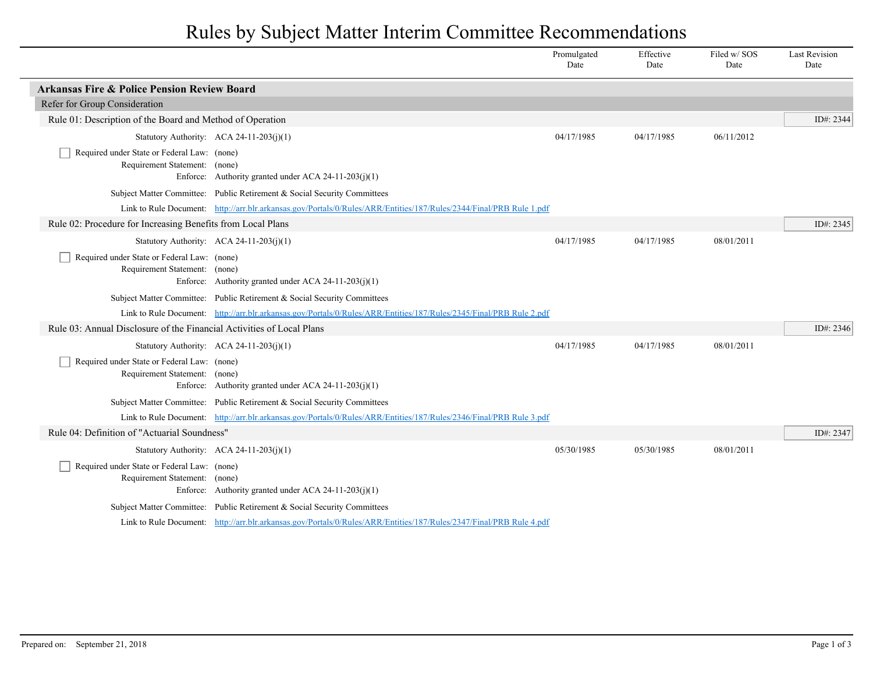## Rules by Subject Matter Interim Committee Recommendations

|                                                                              |                                                                                                                     | Promulgated<br>Date | Effective<br>Date | Filed w/SOS<br>Date | <b>Last Revision</b><br>Date |
|------------------------------------------------------------------------------|---------------------------------------------------------------------------------------------------------------------|---------------------|-------------------|---------------------|------------------------------|
| <b>Arkansas Fire &amp; Police Pension Review Board</b>                       |                                                                                                                     |                     |                   |                     |                              |
| Refer for Group Consideration                                                |                                                                                                                     |                     |                   |                     |                              |
| Rule 01: Description of the Board and Method of Operation                    |                                                                                                                     |                     |                   |                     | ID#: 2344                    |
|                                                                              | Statutory Authority: ACA 24-11-203(j)(1)                                                                            | 04/17/1985          | 04/17/1985        | 06/11/2012          |                              |
| Required under State or Federal Law: (none)<br>Requirement Statement: (none) | Enforce: Authority granted under ACA 24-11-203(j)(1)                                                                |                     |                   |                     |                              |
|                                                                              | Subject Matter Committee: Public Retirement & Social Security Committees                                            |                     |                   |                     |                              |
|                                                                              | Link to Rule Document: http://arr.blr.arkansas.gov/Portals/0/Rules/ARR/Entities/187/Rules/2344/Final/PRB Rule 1.pdf |                     |                   |                     |                              |
| Rule 02: Procedure for Increasing Benefits from Local Plans                  |                                                                                                                     |                     |                   |                     | ID#: 2345                    |
|                                                                              | Statutory Authority: $ACA$ 24-11-203(j)(1)                                                                          | 04/17/1985          | 04/17/1985        | 08/01/2011          |                              |
| Required under State or Federal Law: (none)<br>Requirement Statement: (none) | Enforce: Authority granted under ACA 24-11-203(j)(1)                                                                |                     |                   |                     |                              |
|                                                                              | Subject Matter Committee: Public Retirement & Social Security Committees                                            |                     |                   |                     |                              |
|                                                                              | Link to Rule Document: http://arr.blr.arkansas.gov/Portals/0/Rules/ARR/Entities/187/Rules/2345/Final/PRB Rule 2.pdf |                     |                   |                     |                              |
| Rule 03: Annual Disclosure of the Financial Activities of Local Plans        |                                                                                                                     |                     |                   |                     | ID#: 2346                    |
|                                                                              | Statutory Authority: ACA 24-11-203(j)(1)                                                                            | 04/17/1985          | 04/17/1985        | 08/01/2011          |                              |
| Required under State or Federal Law: (none)<br>Requirement Statement: (none) | Enforce: Authority granted under ACA 24-11-203(j)(1)                                                                |                     |                   |                     |                              |
|                                                                              | Subject Matter Committee: Public Retirement & Social Security Committees                                            |                     |                   |                     |                              |
|                                                                              | Link to Rule Document: http://arr.blr.arkansas.gov/Portals/0/Rules/ARR/Entities/187/Rules/2346/Final/PRB Rule 3.pdf |                     |                   |                     |                              |
| Rule 04: Definition of "Actuarial Soundness"                                 |                                                                                                                     |                     |                   |                     | ID#: 2347                    |
|                                                                              | Statutory Authority: ACA 24-11-203(j)(1)                                                                            | 05/30/1985          | 05/30/1985        | 08/01/2011          |                              |
| Required under State or Federal Law: (none)<br>Requirement Statement: (none) | Enforce: Authority granted under ACA 24-11-203(j)(1)                                                                |                     |                   |                     |                              |
|                                                                              | Subject Matter Committee: Public Retirement & Social Security Committees                                            |                     |                   |                     |                              |
|                                                                              | Link to Rule Document: http://arr.blr.arkansas.gov/Portals/0/Rules/ARR/Entities/187/Rules/2347/Final/PRB Rule 4.pdf |                     |                   |                     |                              |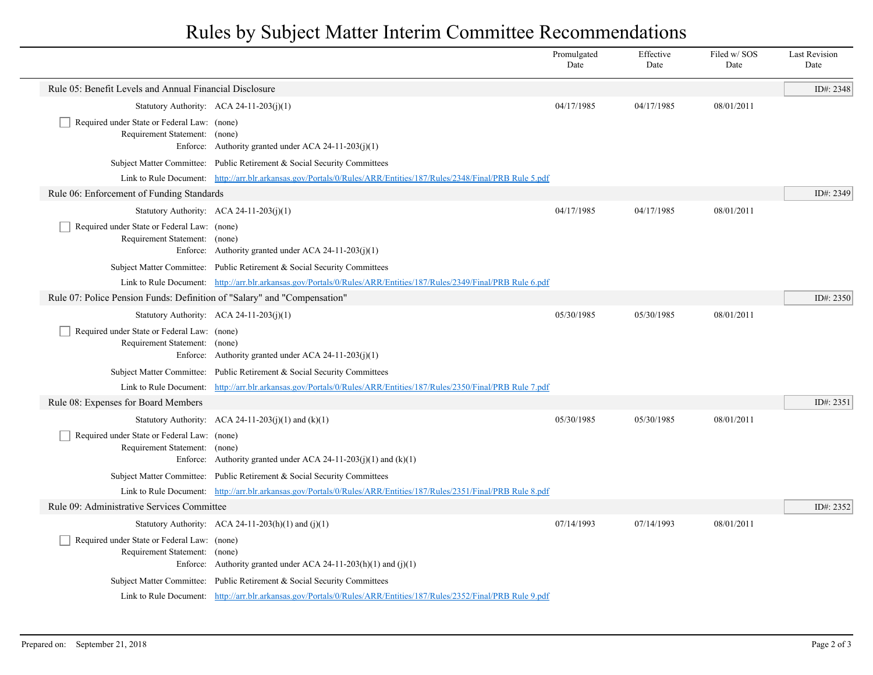## Rules by Subject Matter Interim Committee Recommendations

|                                                                              |                                                                                                                     | Promulgated<br>Date | Effective<br>Date | Filed w/ SOS<br>Date | <b>Last Revision</b><br>Date |
|------------------------------------------------------------------------------|---------------------------------------------------------------------------------------------------------------------|---------------------|-------------------|----------------------|------------------------------|
| Rule 05: Benefit Levels and Annual Financial Disclosure                      |                                                                                                                     |                     |                   |                      | ID#: 2348                    |
|                                                                              | Statutory Authority: ACA 24-11-203(j)(1)                                                                            | 04/17/1985          | 04/17/1985        | 08/01/2011           |                              |
| Required under State or Federal Law: (none)<br>Requirement Statement: (none) | Enforce: Authority granted under ACA 24-11-203(j)(1)                                                                |                     |                   |                      |                              |
|                                                                              | Subject Matter Committee: Public Retirement & Social Security Committees                                            |                     |                   |                      |                              |
|                                                                              | Link to Rule Document: http://arr.blr.arkansas.gov/Portals/0/Rules/ARR/Entities/187/Rules/2348/Final/PRB Rule 5.pdf |                     |                   |                      |                              |
| Rule 06: Enforcement of Funding Standards                                    |                                                                                                                     |                     |                   |                      | ID#: 2349                    |
|                                                                              | Statutory Authority: ACA 24-11-203(j)(1)                                                                            | 04/17/1985          | 04/17/1985        | 08/01/2011           |                              |
| Required under State or Federal Law: (none)<br>Requirement Statement: (none) | Enforce: Authority granted under ACA 24-11-203(j)(1)                                                                |                     |                   |                      |                              |
|                                                                              | Subject Matter Committee: Public Retirement & Social Security Committees                                            |                     |                   |                      |                              |
|                                                                              | Link to Rule Document: http://arr.blr.arkansas.gov/Portals/0/Rules/ARR/Entities/187/Rules/2349/Final/PRB Rule 6.pdf |                     |                   |                      |                              |
| Rule 07: Police Pension Funds: Definition of "Salary" and "Compensation"     |                                                                                                                     |                     |                   |                      | ID#: $2350$                  |
|                                                                              | Statutory Authority: $ACA$ 24-11-203(j)(1)                                                                          | 05/30/1985          | 05/30/1985        | 08/01/2011           |                              |
| Required under State or Federal Law: (none)<br>Requirement Statement: (none) | Enforce: Authority granted under ACA 24-11-203(j)(1)                                                                |                     |                   |                      |                              |
|                                                                              | Subject Matter Committee: Public Retirement & Social Security Committees                                            |                     |                   |                      |                              |
|                                                                              | Link to Rule Document: http://arr.blr.arkansas.gov/Portals/0/Rules/ARR/Entities/187/Rules/2350/Final/PRB Rule 7.pdf |                     |                   |                      |                              |
| Rule 08: Expenses for Board Members                                          |                                                                                                                     |                     |                   |                      | ID#: 2351                    |
|                                                                              | Statutory Authority: ACA 24-11-203(j)(1) and $(k)(1)$                                                               | 05/30/1985          | 05/30/1985        | 08/01/2011           |                              |
| Required under State or Federal Law: (none)<br>Requirement Statement: (none) | Enforce: Authority granted under ACA 24-11-203(j)(1) and (k)(1)                                                     |                     |                   |                      |                              |
|                                                                              | Subject Matter Committee: Public Retirement & Social Security Committees                                            |                     |                   |                      |                              |
|                                                                              | Link to Rule Document: http://arr.blr.arkansas.gov/Portals/0/Rules/ARR/Entities/187/Rules/2351/Final/PRB Rule 8.pdf |                     |                   |                      |                              |
| Rule 09: Administrative Services Committee                                   |                                                                                                                     |                     |                   |                      | ID#: 2352                    |
|                                                                              | Statutory Authority: ACA 24-11-203(h)(1) and (j)(1)                                                                 | 07/14/1993          | 07/14/1993        | 08/01/2011           |                              |
| Required under State or Federal Law: (none)<br>Requirement Statement: (none) | Enforce: Authority granted under ACA 24-11-203(h)(1) and (j)(1)                                                     |                     |                   |                      |                              |
|                                                                              | Subject Matter Committee: Public Retirement & Social Security Committees                                            |                     |                   |                      |                              |
|                                                                              | Link to Rule Document: http://arr.blr.arkansas.gov/Portals/0/Rules/ARR/Entities/187/Rules/2352/Final/PRB Rule 9.pdf |                     |                   |                      |                              |